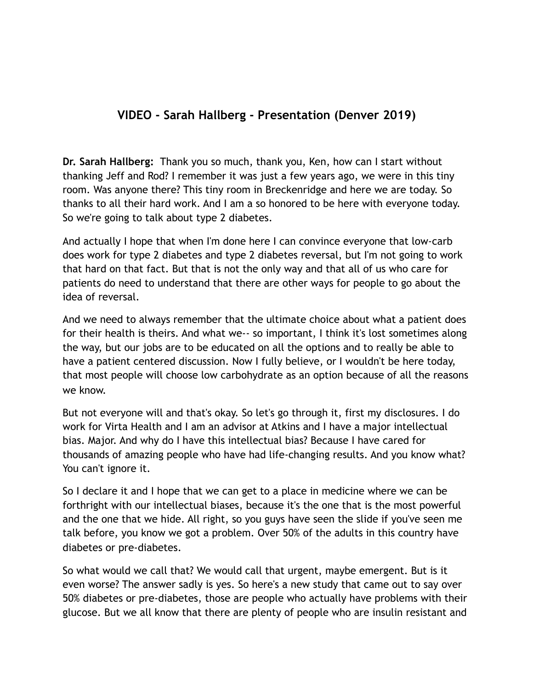## **VIDEO - Sarah Hallberg - Presentation (Denver 2019)**

**Dr. Sarah Hallberg:** Thank you so much, thank you, Ken, how can I start without thanking Jeff and Rod? I remember it was just a few years ago, we were in this tiny room. Was anyone there? This tiny room in Breckenridge and here we are today. So thanks to all their hard work. And I am a so honored to be here with everyone today. So we're going to talk about type 2 diabetes.

And actually I hope that when I'm done here I can convince everyone that low-carb does work for type 2 diabetes and type 2 diabetes reversal, but I'm not going to work that hard on that fact. But that is not the only way and that all of us who care for patients do need to understand that there are other ways for people to go about the idea of reversal.

And we need to always remember that the ultimate choice about what a patient does for their health is theirs. And what we-- so important, I think it's lost sometimes along the way, but our jobs are to be educated on all the options and to really be able to have a patient centered discussion. Now I fully believe, or I wouldn't be here today, that most people will choose low carbohydrate as an option because of all the reasons we know.

But not everyone will and that's okay. So let's go through it, first my disclosures. I do work for Virta Health and I am an advisor at Atkins and I have a major intellectual bias. Major. And why do I have this intellectual bias? Because I have cared for thousands of amazing people who have had life-changing results. And you know what? You can't ignore it.

So I declare it and I hope that we can get to a place in medicine where we can be forthright with our intellectual biases, because it's the one that is the most powerful and the one that we hide. All right, so you guys have seen the slide if you've seen me talk before, you know we got a problem. Over 50% of the adults in this country have diabetes or pre-diabetes.

So what would we call that? We would call that urgent, maybe emergent. But is it even worse? The answer sadly is yes. So here's a new study that came out to say over 50% diabetes or pre-diabetes, those are people who actually have problems with their glucose. But we all know that there are plenty of people who are insulin resistant and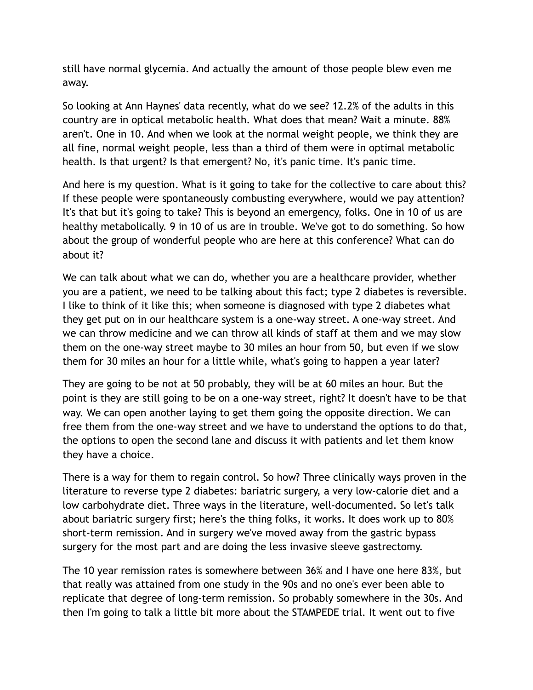still have normal glycemia. And actually the amount of those people blew even me away.

So looking at Ann Haynes' data recently, what do we see? 12.2% of the adults in this country are in optical metabolic health. What does that mean? Wait a minute. 88% aren't. One in 10. And when we look at the normal weight people, we think they are all fine, normal weight people, less than a third of them were in optimal metabolic health. Is that urgent? Is that emergent? No, it's panic time. It's panic time.

And here is my question. What is it going to take for the collective to care about this? If these people were spontaneously combusting everywhere, would we pay attention? It's that but it's going to take? This is beyond an emergency, folks. One in 10 of us are healthy metabolically. 9 in 10 of us are in trouble. We've got to do something. So how about the group of wonderful people who are here at this conference? What can do about it?

We can talk about what we can do, whether you are a healthcare provider, whether you are a patient, we need to be talking about this fact; type 2 diabetes is reversible. I like to think of it like this; when someone is diagnosed with type 2 diabetes what they get put on in our healthcare system is a one-way street. A one-way street. And we can throw medicine and we can throw all kinds of staff at them and we may slow them on the one-way street maybe to 30 miles an hour from 50, but even if we slow them for 30 miles an hour for a little while, what's going to happen a year later?

They are going to be not at 50 probably, they will be at 60 miles an hour. But the point is they are still going to be on a one-way street, right? It doesn't have to be that way. We can open another laying to get them going the opposite direction. We can free them from the one-way street and we have to understand the options to do that, the options to open the second lane and discuss it with patients and let them know they have a choice.

There is a way for them to regain control. So how? Three clinically ways proven in the literature to reverse type 2 diabetes: bariatric surgery, a very low-calorie diet and a low carbohydrate diet. Three ways in the literature, well-documented. So let's talk about bariatric surgery first; here's the thing folks, it works. It does work up to 80% short-term remission. And in surgery we've moved away from the gastric bypass surgery for the most part and are doing the less invasive sleeve gastrectomy.

The 10 year remission rates is somewhere between 36% and I have one here 83%, but that really was attained from one study in the 90s and no one's ever been able to replicate that degree of long-term remission. So probably somewhere in the 30s. And then I'm going to talk a little bit more about the STAMPEDE trial. It went out to five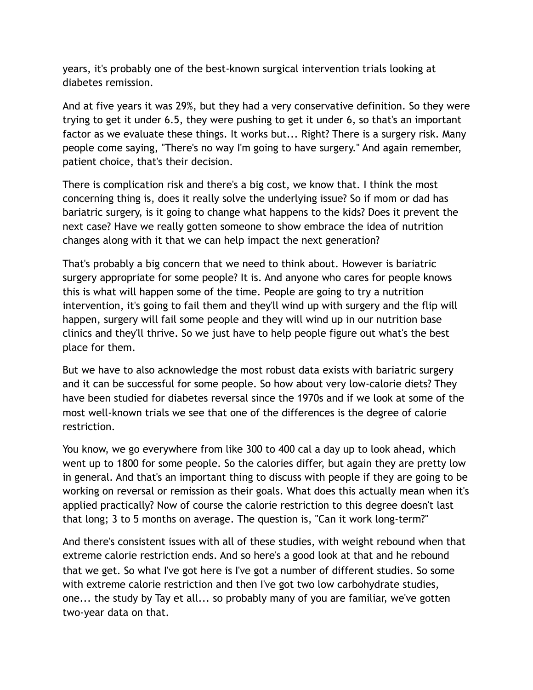years, it's probably one of the best-known surgical intervention trials looking at diabetes remission.

And at five years it was 29%, but they had a very conservative definition. So they were trying to get it under 6.5, they were pushing to get it under 6, so that's an important factor as we evaluate these things. It works but... Right? There is a surgery risk. Many people come saying, "There's no way I'm going to have surgery." And again remember, patient choice, that's their decision.

There is complication risk and there's a big cost, we know that. I think the most concerning thing is, does it really solve the underlying issue? So if mom or dad has bariatric surgery, is it going to change what happens to the kids? Does it prevent the next case? Have we really gotten someone to show embrace the idea of nutrition changes along with it that we can help impact the next generation?

That's probably a big concern that we need to think about. However is bariatric surgery appropriate for some people? It is. And anyone who cares for people knows this is what will happen some of the time. People are going to try a nutrition intervention, it's going to fail them and they'll wind up with surgery and the flip will happen, surgery will fail some people and they will wind up in our nutrition base clinics and they'll thrive. So we just have to help people figure out what's the best place for them.

But we have to also acknowledge the most robust data exists with bariatric surgery and it can be successful for some people. So how about very low-calorie diets? They have been studied for diabetes reversal since the 1970s and if we look at some of the most well-known trials we see that one of the differences is the degree of calorie restriction.

You know, we go everywhere from like 300 to 400 cal a day up to look ahead, which went up to 1800 for some people. So the calories differ, but again they are pretty low in general. And that's an important thing to discuss with people if they are going to be working on reversal or remission as their goals. What does this actually mean when it's applied practically? Now of course the calorie restriction to this degree doesn't last that long; 3 to 5 months on average. The question is, "Can it work long-term?"

And there's consistent issues with all of these studies, with weight rebound when that extreme calorie restriction ends. And so here's a good look at that and he rebound that we get. So what I've got here is I've got a number of different studies. So some with extreme calorie restriction and then I've got two low carbohydrate studies, one... the study by Tay et all... so probably many of you are familiar, we've gotten two-year data on that.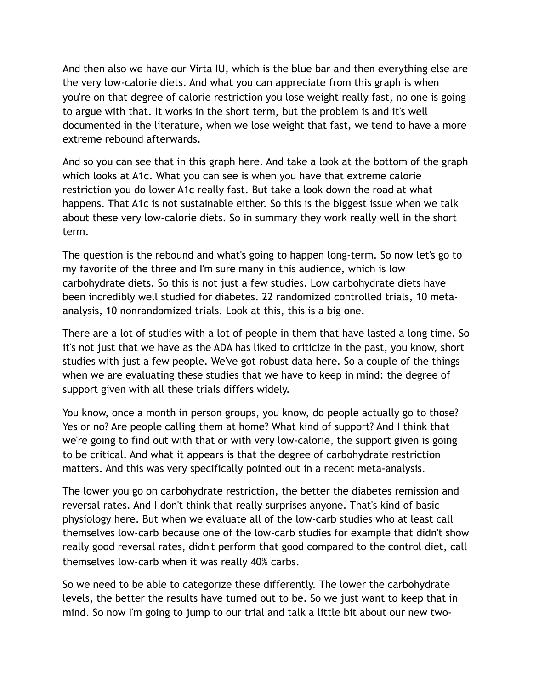And then also we have our Virta IU, which is the blue bar and then everything else are the very low-calorie diets. And what you can appreciate from this graph is when you're on that degree of calorie restriction you lose weight really fast, no one is going to argue with that. It works in the short term, but the problem is and it's well documented in the literature, when we lose weight that fast, we tend to have a more extreme rebound afterwards.

And so you can see that in this graph here. And take a look at the bottom of the graph which looks at A1c. What you can see is when you have that extreme calorie restriction you do lower A1c really fast. But take a look down the road at what happens. That A1c is not sustainable either. So this is the biggest issue when we talk about these very low-calorie diets. So in summary they work really well in the short term.

The question is the rebound and what's going to happen long-term. So now let's go to my favorite of the three and I'm sure many in this audience, which is low carbohydrate diets. So this is not just a few studies. Low carbohydrate diets have been incredibly well studied for diabetes. 22 randomized controlled trials, 10 metaanalysis, 10 nonrandomized trials. Look at this, this is a big one.

There are a lot of studies with a lot of people in them that have lasted a long time. So it's not just that we have as the ADA has liked to criticize in the past, you know, short studies with just a few people. We've got robust data here. So a couple of the things when we are evaluating these studies that we have to keep in mind: the degree of support given with all these trials differs widely.

You know, once a month in person groups, you know, do people actually go to those? Yes or no? Are people calling them at home? What kind of support? And I think that we're going to find out with that or with very low-calorie, the support given is going to be critical. And what it appears is that the degree of carbohydrate restriction matters. And this was very specifically pointed out in a recent meta-analysis.

The lower you go on carbohydrate restriction, the better the diabetes remission and reversal rates. And I don't think that really surprises anyone. That's kind of basic physiology here. But when we evaluate all of the low-carb studies who at least call themselves low-carb because one of the low-carb studies for example that didn't show really good reversal rates, didn't perform that good compared to the control diet, call themselves low-carb when it was really 40% carbs.

So we need to be able to categorize these differently. The lower the carbohydrate levels, the better the results have turned out to be. So we just want to keep that in mind. So now I'm going to jump to our trial and talk a little bit about our new two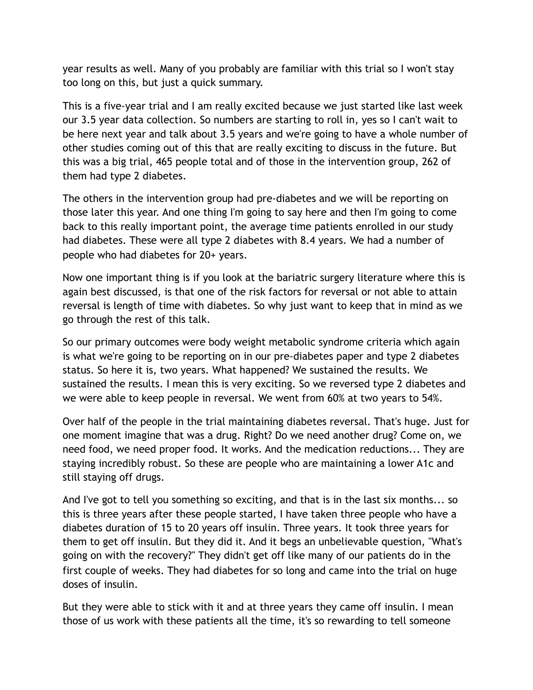year results as well. Many of you probably are familiar with this trial so I won't stay too long on this, but just a quick summary.

This is a five-year trial and I am really excited because we just started like last week our 3.5 year data collection. So numbers are starting to roll in, yes so I can't wait to be here next year and talk about 3.5 years and we're going to have a whole number of other studies coming out of this that are really exciting to discuss in the future. But this was a big trial, 465 people total and of those in the intervention group, 262 of them had type 2 diabetes.

The others in the intervention group had pre-diabetes and we will be reporting on those later this year. And one thing I'm going to say here and then I'm going to come back to this really important point, the average time patients enrolled in our study had diabetes. These were all type 2 diabetes with 8.4 years. We had a number of people who had diabetes for 20+ years.

Now one important thing is if you look at the bariatric surgery literature where this is again best discussed, is that one of the risk factors for reversal or not able to attain reversal is length of time with diabetes. So why just want to keep that in mind as we go through the rest of this talk.

So our primary outcomes were body weight metabolic syndrome criteria which again is what we're going to be reporting on in our pre-diabetes paper and type 2 diabetes status. So here it is, two years. What happened? We sustained the results. We sustained the results. I mean this is very exciting. So we reversed type 2 diabetes and we were able to keep people in reversal. We went from 60% at two years to 54%.

Over half of the people in the trial maintaining diabetes reversal. That's huge. Just for one moment imagine that was a drug. Right? Do we need another drug? Come on, we need food, we need proper food. It works. And the medication reductions... They are staying incredibly robust. So these are people who are maintaining a lower A1c and still staying off drugs.

And I've got to tell you something so exciting, and that is in the last six months... so this is three years after these people started, I have taken three people who have a diabetes duration of 15 to 20 years off insulin. Three years. It took three years for them to get off insulin. But they did it. And it begs an unbelievable question, "What's going on with the recovery?" They didn't get off like many of our patients do in the first couple of weeks. They had diabetes for so long and came into the trial on huge doses of insulin.

But they were able to stick with it and at three years they came off insulin. I mean those of us work with these patients all the time, it's so rewarding to tell someone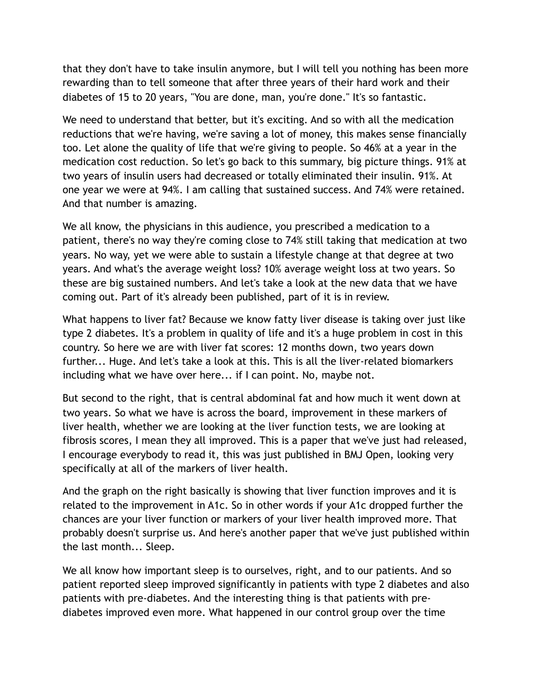that they don't have to take insulin anymore, but I will tell you nothing has been more rewarding than to tell someone that after three years of their hard work and their diabetes of 15 to 20 years, "You are done, man, you're done." It's so fantastic.

We need to understand that better, but it's exciting. And so with all the medication reductions that we're having, we're saving a lot of money, this makes sense financially too. Let alone the quality of life that we're giving to people. So 46% at a year in the medication cost reduction. So let's go back to this summary, big picture things. 91% at two years of insulin users had decreased or totally eliminated their insulin. 91%. At one year we were at 94%. I am calling that sustained success. And 74% were retained. And that number is amazing.

We all know, the physicians in this audience, you prescribed a medication to a patient, there's no way they're coming close to 74% still taking that medication at two years. No way, yet we were able to sustain a lifestyle change at that degree at two years. And what's the average weight loss? 10% average weight loss at two years. So these are big sustained numbers. And let's take a look at the new data that we have coming out. Part of it's already been published, part of it is in review.

What happens to liver fat? Because we know fatty liver disease is taking over just like type 2 diabetes. It's a problem in quality of life and it's a huge problem in cost in this country. So here we are with liver fat scores: 12 months down, two years down further... Huge. And let's take a look at this. This is all the liver-related biomarkers including what we have over here... if I can point. No, maybe not.

But second to the right, that is central abdominal fat and how much it went down at two years. So what we have is across the board, improvement in these markers of liver health, whether we are looking at the liver function tests, we are looking at fibrosis scores, I mean they all improved. This is a paper that we've just had released, I encourage everybody to read it, this was just published in BMJ Open, looking very specifically at all of the markers of liver health.

And the graph on the right basically is showing that liver function improves and it is related to the improvement in A1c. So in other words if your A1c dropped further the chances are your liver function or markers of your liver health improved more. That probably doesn't surprise us. And here's another paper that we've just published within the last month... Sleep.

We all know how important sleep is to ourselves, right, and to our patients. And so patient reported sleep improved significantly in patients with type 2 diabetes and also patients with pre-diabetes. And the interesting thing is that patients with prediabetes improved even more. What happened in our control group over the time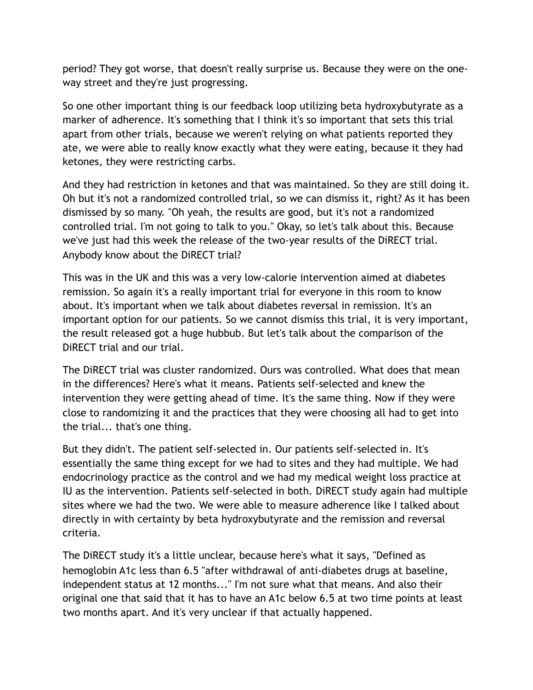period? They got worse, that doesn't really surprise us. Because they were on the oneway street and they're just progressing.

So one other important thing is our feedback loop utilizing beta hydroxybutyrate as a marker of adherence. It's something that I think it's so important that sets this trial apart from other trials, because we weren't relying on what patients reported they ate, we were able to really know exactly what they were eating, because it they had ketones, they were restricting carbs.

And they had restriction in ketones and that was maintained. So they are still doing it. Oh but it's not a randomized controlled trial, so we can dismiss it, right? As it has been dismissed by so many. "Oh yeah, the results are good, but it's not a randomized controlled trial. I'm not going to talk to you." Okay, so let's talk about this. Because we've just had this week the release of the two-year results of the DiRECT trial. Anybody know about the DiRECT trial?

This was in the UK and this was a very low-calorie intervention aimed at diabetes remission. So again it's a really important trial for everyone in this room to know about. It's important when we talk about diabetes reversal in remission. It's an important option for our patients. So we cannot dismiss this trial, it is very important, the result released got a huge hubbub. But let's talk about the comparison of the DiRECT trial and our trial.

The DiRECT trial was cluster randomized. Ours was controlled. What does that mean in the differences? Here's what it means. Patients self-selected and knew the intervention they were getting ahead of time. It's the same thing. Now if they were close to randomizing it and the practices that they were choosing all had to get into the trial... that's one thing.

But they didn't. The patient self-selected in. Our patients self-selected in. It's essentially the same thing except for we had to sites and they had multiple. We had endocrinology practice as the control and we had my medical weight loss practice at IU as the intervention. Patients self-selected in both. DiRECT study again had multiple sites where we had the two. We were able to measure adherence like I talked about directly in with certainty by beta hydroxybutyrate and the remission and reversal criteria.

The DiRECT study it's a little unclear, because here's what it says, "Defined as hemoglobin A1c less than 6.5 "after withdrawal of anti-diabetes drugs at baseline, independent status at 12 months..." I'm not sure what that means. And also their original one that said that it has to have an A1c below 6.5 at two time points at least two months apart. And it's very unclear if that actually happened.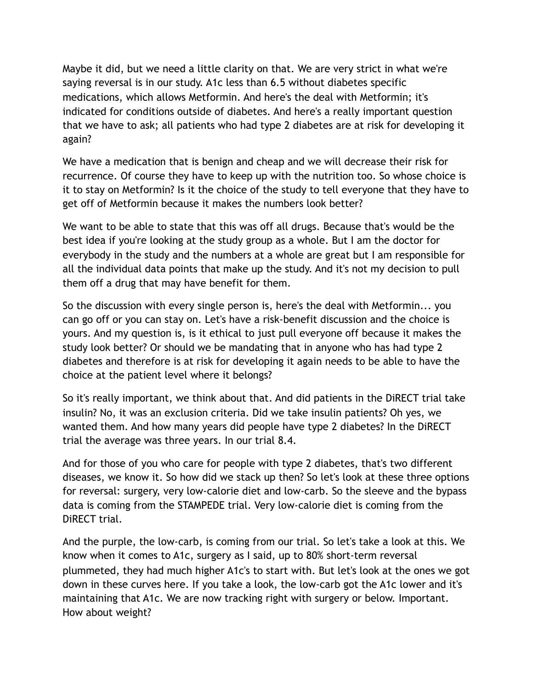Maybe it did, but we need a little clarity on that. We are very strict in what we're saying reversal is in our study. A1c less than 6.5 without diabetes specific medications, which allows Metformin. And here's the deal with Metformin; it's indicated for conditions outside of diabetes. And here's a really important question that we have to ask; all patients who had type 2 diabetes are at risk for developing it again?

We have a medication that is benign and cheap and we will decrease their risk for recurrence. Of course they have to keep up with the nutrition too. So whose choice is it to stay on Metformin? Is it the choice of the study to tell everyone that they have to get off of Metformin because it makes the numbers look better?

We want to be able to state that this was off all drugs. Because that's would be the best idea if you're looking at the study group as a whole. But I am the doctor for everybody in the study and the numbers at a whole are great but I am responsible for all the individual data points that make up the study. And it's not my decision to pull them off a drug that may have benefit for them.

So the discussion with every single person is, here's the deal with Metformin... you can go off or you can stay on. Let's have a risk-benefit discussion and the choice is yours. And my question is, is it ethical to just pull everyone off because it makes the study look better? Or should we be mandating that in anyone who has had type 2 diabetes and therefore is at risk for developing it again needs to be able to have the choice at the patient level where it belongs?

So it's really important, we think about that. And did patients in the DiRECT trial take insulin? No, it was an exclusion criteria. Did we take insulin patients? Oh yes, we wanted them. And how many years did people have type 2 diabetes? In the DiRECT trial the average was three years. In our trial 8.4.

And for those of you who care for people with type 2 diabetes, that's two different diseases, we know it. So how did we stack up then? So let's look at these three options for reversal: surgery, very low-calorie diet and low-carb. So the sleeve and the bypass data is coming from the STAMPEDE trial. Very low-calorie diet is coming from the DiRECT trial.

And the purple, the low-carb, is coming from our trial. So let's take a look at this. We know when it comes to A1c, surgery as I said, up to 80% short-term reversal plummeted, they had much higher A1c's to start with. But let's look at the ones we got down in these curves here. If you take a look, the low-carb got the A1c lower and it's maintaining that A1c. We are now tracking right with surgery or below. Important. How about weight?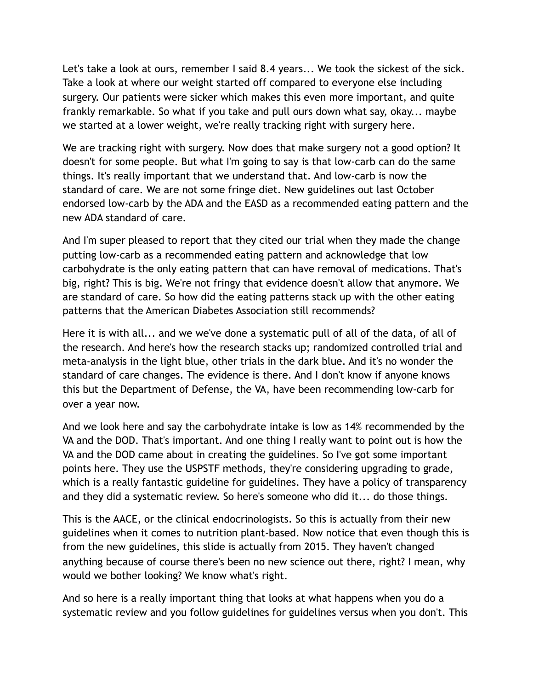Let's take a look at ours, remember I said 8.4 years... We took the sickest of the sick. Take a look at where our weight started off compared to everyone else including surgery. Our patients were sicker which makes this even more important, and quite frankly remarkable. So what if you take and pull ours down what say, okay... maybe we started at a lower weight, we're really tracking right with surgery here.

We are tracking right with surgery. Now does that make surgery not a good option? It doesn't for some people. But what I'm going to say is that low-carb can do the same things. It's really important that we understand that. And low-carb is now the standard of care. We are not some fringe diet. New guidelines out last October endorsed low-carb by the ADA and the EASD as a recommended eating pattern and the new ADA standard of care.

And I'm super pleased to report that they cited our trial when they made the change putting low-carb as a recommended eating pattern and acknowledge that low carbohydrate is the only eating pattern that can have removal of medications. That's big, right? This is big. We're not fringy that evidence doesn't allow that anymore. We are standard of care. So how did the eating patterns stack up with the other eating patterns that the American Diabetes Association still recommends?

Here it is with all... and we we've done a systematic pull of all of the data, of all of the research. And here's how the research stacks up; randomized controlled trial and meta-analysis in the light blue, other trials in the dark blue. And it's no wonder the standard of care changes. The evidence is there. And I don't know if anyone knows this but the Department of Defense, the VA, have been recommending low-carb for over a year now.

And we look here and say the carbohydrate intake is low as 14% recommended by the VA and the DOD. That's important. And one thing I really want to point out is how the VA and the DOD came about in creating the guidelines. So I've got some important points here. They use the USPSTF methods, they're considering upgrading to grade, which is a really fantastic guideline for guidelines. They have a policy of transparency and they did a systematic review. So here's someone who did it... do those things.

This is the AACE, or the clinical endocrinologists. So this is actually from their new guidelines when it comes to nutrition plant-based. Now notice that even though this is from the new guidelines, this slide is actually from 2015. They haven't changed anything because of course there's been no new science out there, right? I mean, why would we bother looking? We know what's right.

And so here is a really important thing that looks at what happens when you do a systematic review and you follow guidelines for guidelines versus when you don't. This